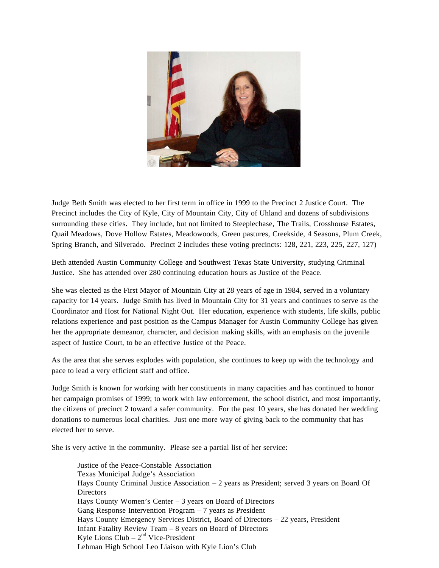

Judge Beth Smith was elected to her first term in office in 1999 to the Precinct 2 Justice Court. The Precinct includes the City of Kyle, City of Mountain City, City of Uhland and dozens of subdivisions surrounding these cities. They include, but not limited to Steeplechase, The Trails, Crosshouse Estates, Quail Meadows, Dove Hollow Estates, Meadowoods, Green pastures, Creekside, 4 Seasons, Plum Creek, Spring Branch, and Silverado. Precinct 2 includes these voting precincts: 128, 221, 223, 225, 227, 127)

Beth attended Austin Community College and Southwest Texas State University, studying Criminal Justice. She has attended over 280 continuing education hours as Justice of the Peace.

She was elected as the First Mayor of Mountain City at 28 years of age in 1984, served in a voluntary capacity for 14 years. Judge Smith has lived in Mountain City for 31 years and continues to serve as the Coordinator and Host for National Night Out. Her education, experience with students, life skills, public relations experience and past position as the Campus Manager for Austin Community College has given her the appropriate demeanor, character, and decision making skills, with an emphasis on the juvenile aspect of Justice Court, to be an effective Justice of the Peace.

As the area that she serves explodes with population, she continues to keep up with the technology and pace to lead a very efficient staff and office.

Judge Smith is known for working with her constituents in many capacities and has continued to honor her campaign promises of 1999; to work with law enforcement, the school district, and most importantly, the citizens of precinct 2 toward a safer community. For the past 10 years, she has donated her wedding donations to numerous local charities. Just one more way of giving back to the community that has elected her to serve.

She is very active in the community. Please see a partial list of her service:

Justice of the Peace-Constable Association Texas Municipal Judge's Association Hays County Criminal Justice Association – 2 years as President; served 3 years on Board Of **Directors** Hays County Women's Center – 3 years on Board of Directors Gang Response Intervention Program – 7 years as President Hays County Emergency Services District, Board of Directors – 22 years, President Infant Fatality Review Team – 8 years on Board of Directors Kyle Lions Club –  $2<sup>nd</sup>$  Vice-President Lehman High School Leo Liaison with Kyle Lion's Club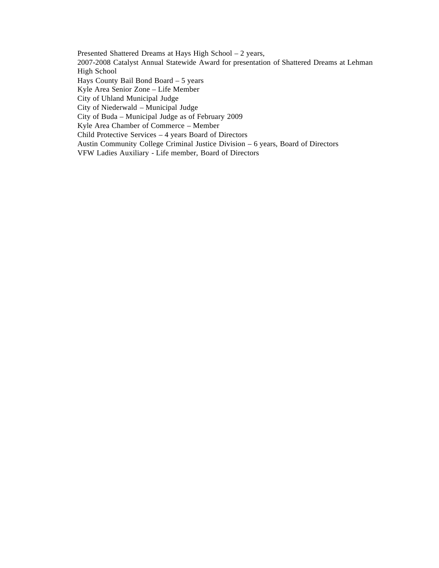Presented Shattered Dreams at Hays High School – 2 years, 2007-2008 Catalyst Annual Statewide Award for presentation of Shattered Dreams at Lehman High School Hays County Bail Bond Board – 5 years Kyle Area Senior Zone – Life Member City of Uhland Municipal Judge City of Niederwald – Municipal Judge City of Buda – Municipal Judge as of February 2009 Kyle Area Chamber of Commerce – Member Child Protective Services – 4 years Board of Directors Austin Community College Criminal Justice Division – 6 years, Board of Directors VFW Ladies Auxiliary - Life member, Board of Directors